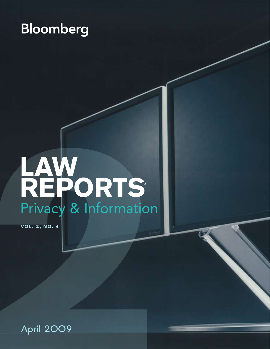# **Bloomberg**

# AW<br>Privacy & Information<br>Privacy & Information<br>Pril 2009 **LAW REPORTS®** Privacy & Information

**VOL. 2, NO. 4**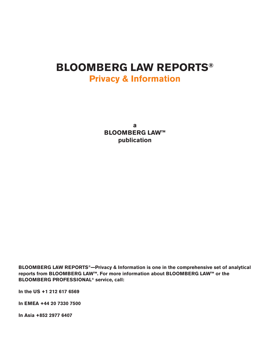## **BLOOMBERG LAW REPORTS® Privacy & Information**

**a BLOOMBERG LAW™ publication**

**BLOOMBERG LAW REPORTS®—Privacy & Information is one in the comprehensive set of analytical reports from BLOOMBERG LAW™. For more information about BLOOMBERG LAW™ or the BLOOMBERG PROFESSIONAL® service, call:**

**In the US +1 212 617 6569**

**In EMEA +44 20 7330 7500**

**In Asia +852 2977 6407**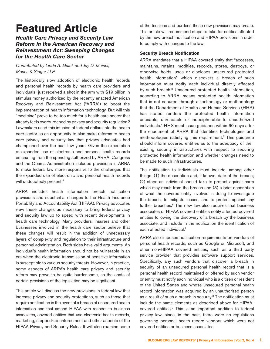# **Featured Article**

### **Health Care Privacy and Security Law Reform in the American Recovery and Reinvestment Act: Sweeping Changes for the Health Care Sector**

Contributed by Linda A. Malek and Jay D. Meisel, Moses & Singer LLP

The historically slow adoption of electronic health records and personal health records by health care providers and individuals<sup>1</sup> just received a shot in the arm with \$19 billion in stimulus money authorized by the recently enacted American Recovery and Reinvestment Act ("ARRA") to boost the implementation of health information technology. But will this "medicine" prove to be too much for a health care sector that already feels overburdened by privacy and security regulation? Lawmakers used this infusion of federal dollars into the health care sector as an opportunity to also make reforms to health care privacy and security law that privacy advocates had championed over the past few years. Given the expectation of expanded use of electronic and personal health records emanating from the spending authorized by ARRA, Congress and the Obama Administration included provisions in ARRA to make federal law more responsive to the challenges that the expanded use of electronic and personal health records will undoubtedly present.<sup>[2](#page-5-1)</sup>

ARRA includes health information breach notification provisions and substantial changes to the Health Insurance Portability and Accountability Act (HIPAA). Privacy advocates view these changes as necessary to bring federal privacy and security law up to speed with recent developments in health care technology. Many providers, insurers and other businesses involved in the health care sector believe that these changes will result in the addition of unnecessary layers of complexity and regulation to their infrastructure and personnel administration. Both sides have valid arguments. An individual's health information should not be vulnerable in an era when the electronic transmission of sensitive information is susceptible to various security threats. However, in practice, some aspects of ARRA's health care privacy and security reform may prove to be quite burdensome, as the costs of certain provisions of the legislation may be significant.

This article will discuss the new provisions in federal law that increase privacy and security protections, such as those that require notification in the event of a breach of unsecured health information and that amend HIPAA with respect to business associates, covered entities that use electronic health records, marketing, stepped-up enforcement and other aspects of the HIPAA Privacy and Security Rules. It will also examine some of the tensions and burdens these new provisions may create. This article will recommend steps to take for entities affected by the new breach notification and HIPAA provisions in order to comply with changes to the law.

### **Security Breach Notification**

ARRA mandates that a HIPAA covered entity that "accesses, maintains, retains, modifies, records, stores, destroys, or otherwise holds, uses or discloses unsecured protected health information" which discovers a breach of such information must notify each individual directly affected by such breach.<sup>[3](#page-5-2)</sup> Unsecured protected health information, according to ARRA, means protected health information that is not secured through a technology or methodology that the Department of Health and Human Services (HHS) has stated renders the protected health information unusable, unreadable or indecipherable to unauthorized individuals[.4](#page-5-3) HHS must issue guidance within 60 days after the enactment of ARRA that identifies technologies and methodologies satisfying this requirement.<sup>5</sup> This guidance should inform covered entities as to the adequacy of their existing security infrastructures with respect to securing protected health information and whether changes need to be made to such infrastructures.

The notification to individuals must include, among other things: (1) the description and, if known, date of the breach; (2) steps an individual should take to protect against harm which may result from the breach and (3) a brief description of what the covered entity involved is doing to investigate the breach, to mitigate losses, and to protect against any further breaches.<sup>6</sup> The new law also requires that business associates of HIPAA covered entities notify affected covered entities following the discovery of a breach by the business associate, and include in the notification the identification of each affected individual.<sup>7</sup>

ARRA also imposes notification requirements on vendors of personal health records, such as Google or Microsoft, and other non-HIPAA covered entities, such as a third party service provider that provides software support services. Specifically, any such vendors that discover a breach in security of an unsecured personal health record that is a personal health record maintained or offered by such vendor or entity must notify each individual who is a citizen or resident of the United States and whose unsecured personal health record information was acquired by an unauthorized person as a result of such a breach in security.<sup>[8](#page-5-7)</sup> The notification must include the same elements as described above for HIPAAcovered entities[.9](#page-5-8) This is an important addition to federal privacy law, since, in the past, there were no regulations governing personal health record vendors which were not covered entities or business associates.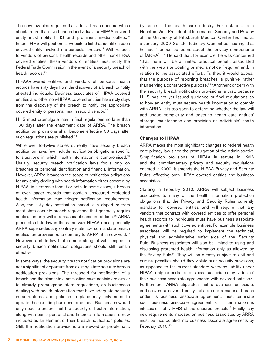The new law also requires that after a breach occurs which affects more than five hundred individuals, a HIPAA covered entity must notify HHS and prominent media outlets.<sup>[10](#page-5-9)</sup> In turn, HHS will post on its website a list that identifies each covered entity involved in a particular breach[.11](#page-5-10) With respect to vendors of personal health records and other non-HIPAA covered entities, these vendors or entities must notify the Federal Trade Commission in the event of a security breach of health records.<sup>12</sup>

HIPAA-covered entities and vendors of personal health records have sixty days from the discovery of a breach to notify affected individuals. Business associates of HIPAA covered entities and other non-HIPAA covered entities have sixty days from the discovery of the breach to notify the appropriate covered entity or personal health record vendor.<sup>13</sup>

HHS must promulgate interim final regulations no later than 180 days after the enactment date of ARRA. The breach notification provisions shall become effective 30 days after such regulations are published.<sup>14</sup>

While over forty-five states currently have security breach notification laws, few include notification obligations specific to situations in which health information is compromised.[15](#page-5-14) Usually, security breach notification laws focus only on breaches of personal identification and financial information. However, ARRA broadens the scope of notification obligations for any entity dealing with health information either covered by HIPAA, in electronic format or both. In some cases, a breach of even paper records that contain unsecured protected health information may trigger notification requirements. Also, the sixty day notification period is a departure from most state security breach regulations that generally require notification only within a reasonable amount of time[.16](#page-5-15) ARRA preempts state law in the same way HIPAA does; generally ARRA supersedes any contrary state law, so if a state breach notification provision runs contrary to ARRA, it is now void.[17](#page-5-16) However, a state law that is more stringent with respect to security breach notification obligations should still remain effective.

In some ways, the security breach notification provisions are not a significant departure from existing state security breach notification provisions. The threshold for notification of a breach and the elements a notification must contain are similar to already promulgated state regulations, so businesses dealing with health information that have adequate security infrastructures and policies in place may only need to update their existing business practices. Businesses would only need to ensure that the security of health information, along with basic personal and financial information, is now included as an element of their breach notification policies. Still, the notification provisions are viewed as problematic by some in the health care industry. For instance, John Houston, Vice President of Information Security and Privacy at the University of Pittsburgh Medical Center testified at a January 2009 Senate Judiciary Committee hearing that he had "serious concerns about the privacy components of [ARRA].["18](#page-5-17) He said that, for example, he was concerned "that there will be a limited practical benefit associated with the web site posting or media notice [requirement], in relation to the associated effort…Further, it would appear that the purpose of reporting breaches is punitive, rather than serving a constructive purpose."[19](#page-5-18) Another concern with the security breach notification provisions is that, because HHS has not yet issued guidance or final regulations as to how an entity must secure health information to comply with ARRA, it is too soon to determine whether the law will add undue complexity and costs to health care entities' storage, maintenance and provision of individuals' health information.

### **Changes to HIPAA**

ARRA makes the most significant changes to federal health care privacy law since the promulgation of the Administrative Simplification provisions of HIPAA in statute in 1996 and the complementary privacy and security regulations enacted in 2000. It amends the HIPAA Privacy and Security Rules, affecting both HIPAA-covered entities and business associates.

Starting in February 2010, ARRA will subject business associates to many of the health information protection obligations that the Privacy and Security Rules currently mandate for covered entities and will require that any vendors that contract with covered entities to offer personal health records to individuals must have business associate agreements with such covered entities. For example, business associates will be required to implement the technical, physical and administrative safeguards of the Security Rule. Business associates will also be limited to using and disclosing protected health information only as allowed by the Privacy Rule.<sup>[20](#page-5-19)</sup> They will be directly subject to civil and criminal penalties should they violate such security provisions, as opposed to the current standard whereby liability under HIPAA only extends to business associates by virtue of their business associate agreements with covered entities.<sup>21</sup> Furthermore, ARRA stipulates that a business associate, in the event a covered entity fails to cure a material breach under its business associate agreement, must terminate such business associate agreement, or, if termination is infeasible, notify HHS of the uncured breach.<sup>22</sup> Finally, any new requirements imposed on business associates by ARRA must be incorporated into business associate agreements by February 2010.<sup>23</sup>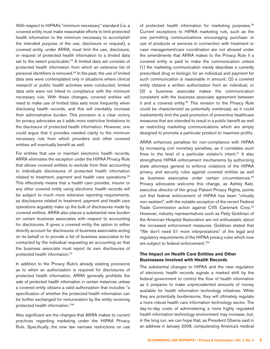With respect to HIPAA's "minimum necessary" standard (i.e. a covered entity must make reasonable efforts to limit protected health information to the minimum necessary to accomplish the intended purpose of the use, disclosure or request), a covered entity, under ARRA, must limit the use, disclosure, or request of protected health information to a limited data set to the extent practicable.<sup>24</sup> A limited data set consists of protected health information from which an extensive list of personal identifiers is removed[.25](#page-5-24) In the past, the use of limited data sets were contemplated only in situations where clinical research or public health activities were conducted; limited data sets were not linked to compliance with the minimum necessary rule. With these changes, covered entities will need to make use of limited data sets more frequently when disclosing health records, and this will inevitably increase their administrative burden. This provision is a clear victory for privacy advocates as it adds more restrictive limitations to the disclosure of protected health information. However, one could argue that it provides needed clarity to the minimum necessary rule from which providers and other covered entities will eventually benefit as well.

For entities that use or maintain electronic health records, ARRA eliminates the exception under the HIPAA Privacy Rule that allows covered entities to exclude from their accounting to individuals disclosures of protected health information related to treatment, payment and health care operations.[26](#page-5-25) This effectively means that a health care provider, insurer or any other covered entity using electronic health records will be subject to much more extensive reporting requirements, as disclosures related to treatment, payment and health care operations arguably make up the bulk of disclosures made by covered entities. ARRA also places a substantial new burden on certain business associates with respect to accounting for disclosures. It gives a covered entity the option to either directly account for disclosures of business associates acting on its behalf or to provide a list of business associates to be contacted by the individual requesting an accounting so that the business associate must report its own disclosures of protected health information[.27](#page-5-26)

In addition to the Privacy Rule's already existing provisions as to when an authorization is required for disclosures of protected health information, ARRA generally prohibits the sale of protected health information in certain instances unless a covered entity obtains a valid authorization that includes "a specification of whether the protected health information can be further exchanged for remuneration by the entity receiving protected health information.["28](#page-5-27)

Also significant are the changes that ARRA makes to current practices regarding marketing under the HIPAA Privacy Rule. Specifically, the new law narrows restrictions on use of protected health information for marketing purposes[.29](#page-5-28) Current exceptions to HIPAA marketing rule, such as the one permitting communications encouraging purchase or use of products or services in connection with treatment or case management/care coordination are not allowed under the amendments that ARRA makes to the Privacy Rule if a covered entity is paid to make the communication unless (1) the marketing communication merely describes a currently prescribed drug or biologic for an individual and payment for such communication is reasonable in amount; (2) a covered entity obtains a written authorization from an individual; or (3) a business associate makes the communication consistent with the business associate agreement between it and a covered entity.<sup>30</sup> This revision to the Privacy Rule could be characterized as potentially overbroad, as it could inadvertently limit the paid promotion of preventive healthcare measures that are intended to result in a public benefit as well as restricting marketing communications which are simply designed to promote a particular product to maximize profits.

ARRA enhances penalties for non-compliance with HIPAA by increasing civil monetary penalties, as it correlates such fines to the level of a particular violator's intent.<sup>31</sup> It also strengthens HIPAA enforcement mechanisms by authorizing state attorneys general to enforce violations of the HIPAA privacy and security rules against covered entities as well as business associates under certain circumstances.<sup>32</sup> Privacy advocates welcome this change, as Ashley Katz, executive director of the group Patient Privacy Rights, points out that federal enforcement of HIPAA has been "virtually non-existent", with the notable exception of the recent Federal Trade Commission action against CVS Caremark Corp.<sup>33</sup> However, industry representatives such as Patty Goldman of the American Hospital Association are not enthusiastic about the increased enforcement measures. Goldman stated that "We don't need 51 more interpretations" of the legal and regulatory requirements of the HIPAA privacy rules which now are subject to federal enforcement."[34](#page-5-33)

### **The Impact on Health Care Entities and Other Businesses Involved with Health Records**

The substantial changes to HIPAA and the new regulation of electronic health records signals a marked shift by the federal government to control the flow of health information as it prepares to make unprecedented amounts of money available for health information technology initiatives. While they are potentially burdensome, they will ultimately regulate a more robust health care information technology sector. The day-to-day costs of administering a more highly regulated health information technology environment may increase, but, in the long run, we can hope that, as President Obama said in an address in January 2009, computerizing America's medical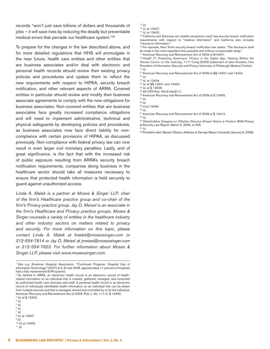records "won't just save billions of dollars and thousands of jobs – it will save lives by reducing the deadly but preventable medical errors that pervade our healthcare system."[35](#page-5-34)

To prepare for the changes in the law described above, and for more detailed regulations that HHS will promulgate in the near future, health care entities and other entities that are business associates and/or deal with electronic and personal health records should review their existing privacy policies and procedures and update them to reflect the new requirements with respect to HIPAA, security breach notification, and other relevant aspects of ARRA. Covered entities in particular should review and modify their business associate agreements to comply with the new obligations for business associates. Non-covered entities that are business associates face greatly increased compliance obligations and will need to implement administrative, technical and physical safeguards by developing policies and procedures, as business associates now face direct liability for noncompliance with certain provisions of HIPAA, as discussed previously. Non-compliance with federal privacy law can now result in even larger civil monetary penalties. Lastly, and of great significance, is the fact that with the increased risk of public exposure resulting from ARRA's security breach notification requirements, companies doing business in the healthcare sector should take all measures necessary to ensure that protected health information is held securely to guard against unauthorized access.

Linda A. Malek is a partner at Moses & Singer LLP, chair of the firm's Healthcare practice group and co-chair of the firm's Privacy practice group. Jay D. Meisel is an associate in the firm's Healthcare and Privacy practice groups. Moses & Singer counsels a variety of entities in the healthcare industry and other industry sectors on matters related to privacy and security. For more information on this topic, please contact Linda A. Malek at lmalek@mosessinger.com or 212-554-7814 or Jay D. Meisel at jmeisel@mosessinger.com or 212-554-7823. For further information about Moses & Singer LLP, please visit www.mosessinger.com.

- <span id="page-5-7"></span><span id="page-5-6"></span><sup>8</sup> Id. at 13407
- <span id="page-5-8"></span> $9$   $Id.$
- <span id="page-5-9"></span><sup>10</sup> Id. at 13402.
- <span id="page-5-10"></span> $11$  *Id.*
- <span id="page-5-11"></span> $12$  *Id.*
- <span id="page-5-12"></span><sup>13</sup> Id. at 13407.
- <span id="page-5-13"></span><sup>14</sup> Id. at 13402.

<span id="page-5-14"></span><sup>15</sup> California and Arkansas are notable exceptions; each has security breach notification requirements with respect to "medical information" and California also includes "insurance information."

<span id="page-5-15"></span><sup>16</sup> For example, New York's security breach notification law states: "The disclosure shall be made in the most expedient time possible and without unreasonable delay." <sup>17</sup> American Recovery and Reinvestment Act of 2009 at §13421.

<span id="page-5-17"></span><span id="page-5-16"></span><sup>18</sup> Health IT: Protecting Americans' Privacy in the Digital Age: Hearing Before the Senate Comm. on the Judiciary, 111<sup>th</sup> Cong (2009) (statement of John Houston, Vice President of Information Security and Privacy University of Pittsburgh Medical Center). <sup>19</sup> Id.

<span id="page-5-19"></span><span id="page-5-18"></span><sup>20</sup> American Recovery and Reinvestment Act of 2009 at §§ 13401 and 13404.

<span id="page-5-25"></span><span id="page-5-24"></span><sup>26</sup> American Recovery and Reinvestment Act of 2009 at § 13405.

<span id="page-5-30"></span><sup>31</sup> American Recovery and Reinvestment Act of 2009 at § 13410.

- <span id="page-5-32"></span><sup>33</sup> Stakeholders Disagree on Whether Stimulus Breach Notice is Positive. BNA Privacy
- & Security Law Report, March 2, 2009, at 329.
- <span id="page-5-33"></span> $34$  Id.
- <span id="page-5-34"></span><sup>35</sup> President-elect Barack Obama, Address at George Mason University (January 8, 2009).

<span id="page-5-0"></span><sup>&</sup>lt;sup>1</sup> See e.g. American Hospital Association. "Continued Progress: Hospital Use of Information Technology" (2007) at 3. (In late 2006, approximately 11 percent of hospitals had a fully implemented EHR system).

<span id="page-5-1"></span><sup>&</sup>lt;sup>2</sup> As defined in ARRA, an electronic health record is an electronic record of healthrelated information on an individual that is created, gathered, managed, and consulted by authorized health care clinicians and staff. A personal health record is an electronic record of individually identifiable health information on an individual that can be drawn from multiple sources and that is managed, shared and controlled by or for the individual. American Recovery and Reinvestment Act of 2009, Pub. L. No. 111-5, § 13400. <sup>3</sup> Id. at § 13402.

<span id="page-5-3"></span><span id="page-5-2"></span> $4$  Id.

<span id="page-5-4"></span> $5/d$ 

<span id="page-5-5"></span> $6$  Id. <sup>7</sup> Id.

<span id="page-5-20"></span> $21$  *Id.* 

<span id="page-5-21"></span><sup>22</sup> Id. at 13404. <sup>23</sup> Id. at §§ 13401 and 13404.

<span id="page-5-22"></span>

<span id="page-5-23"></span><sup>24</sup> Id. at § 13405. <sup>25</sup> 45 CFR Part 164.514(e)(11)

<span id="page-5-26"></span><sup>27</sup> Id.

<span id="page-5-27"></span><sup>28</sup> Id.

<span id="page-5-28"></span><sup>29</sup> Id at 13406.

<span id="page-5-29"></span> $30$  *Id.* 

<span id="page-5-31"></span><sup>32</sup> Id.